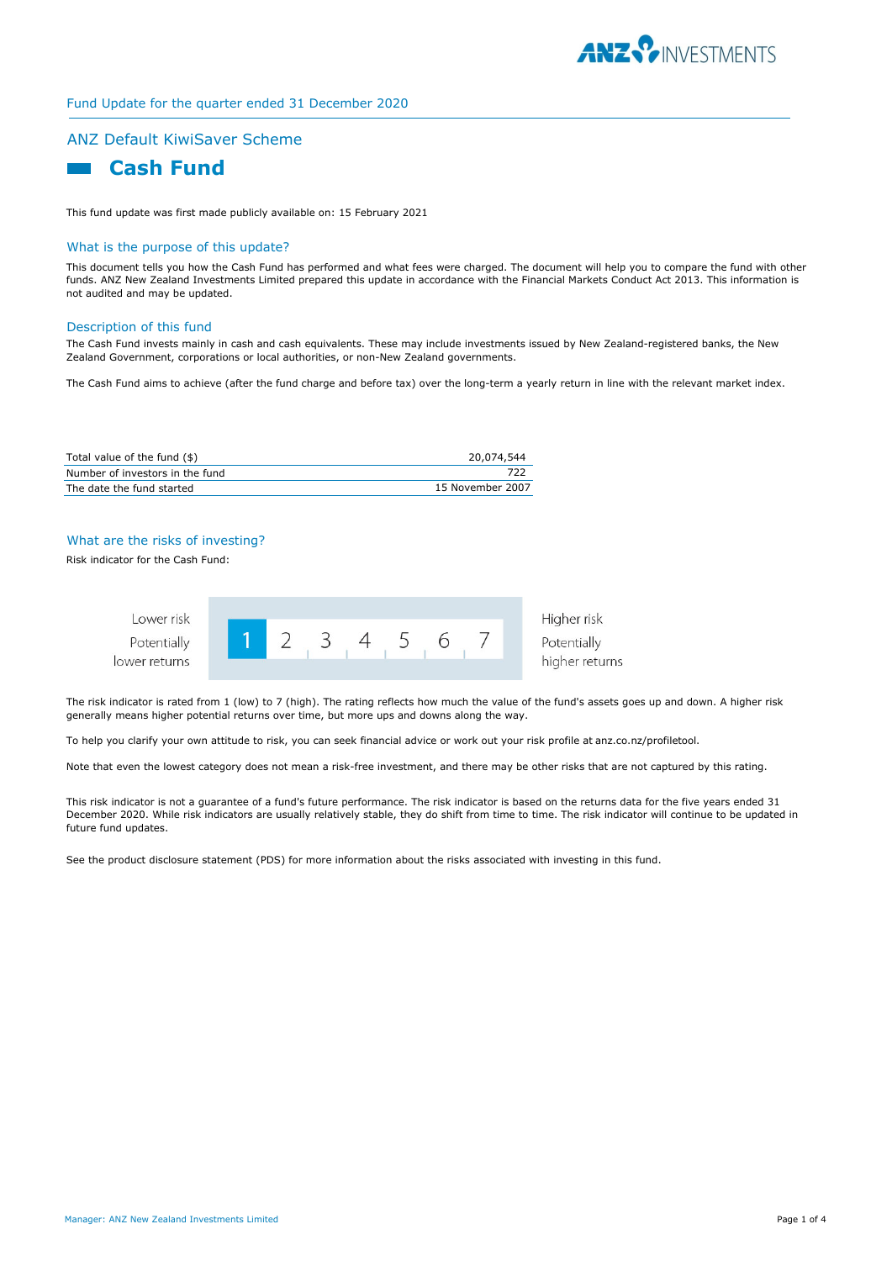

# Fund Update for the quarter ended 31 December 2020

## ANZ Default KiwiSaver Scheme



This fund update was first made publicly available on: 15 February 2021

#### What is the purpose of this update?

This document tells you how the Cash Fund has performed and what fees were charged. The document will help you to compare the fund with other funds. ANZ New Zealand Investments Limited prepared this update in accordance with the Financial Markets Conduct Act 2013. This information is not audited and may be updated.

#### Description of this fund

The Cash Fund invests mainly in cash and cash equivalents. These may include investments issued by New Zealand-registered banks, the New Zealand Government, corporations or local authorities, or non-New Zealand governments.

The Cash Fund aims to achieve (after the fund charge and before tax) over the long-term a yearly return in line with the relevant market index.

| Total value of the fund (\$)    | 20,074,544       |
|---------------------------------|------------------|
| Number of investors in the fund | 722              |
| The date the fund started       | 15 November 2007 |

# What are the risks of investing?

Risk indicator for the Cash Fund:



The risk indicator is rated from 1 (low) to 7 (high). The rating reflects how much the value of the fund's assets goes up and down. A higher risk generally means higher potential returns over time, but more ups and downs along the way.

To help you clarify your own attitude to risk, you can seek financial advice or work out your risk profile at anz.co.nz/profiletool.

Note that even the lowest category does not mean a risk-free investment, and there may be other risks that are not captured by this rating.

This risk indicator is not a guarantee of a fund's future performance. The risk indicator is based on the returns data for the five years ended 31 December 2020. While risk indicators are usually relatively stable, they do shift from time to time. The risk indicator will continue to be updated in future fund updates.

See the product disclosure statement (PDS) for more information about the risks associated with investing in this fund.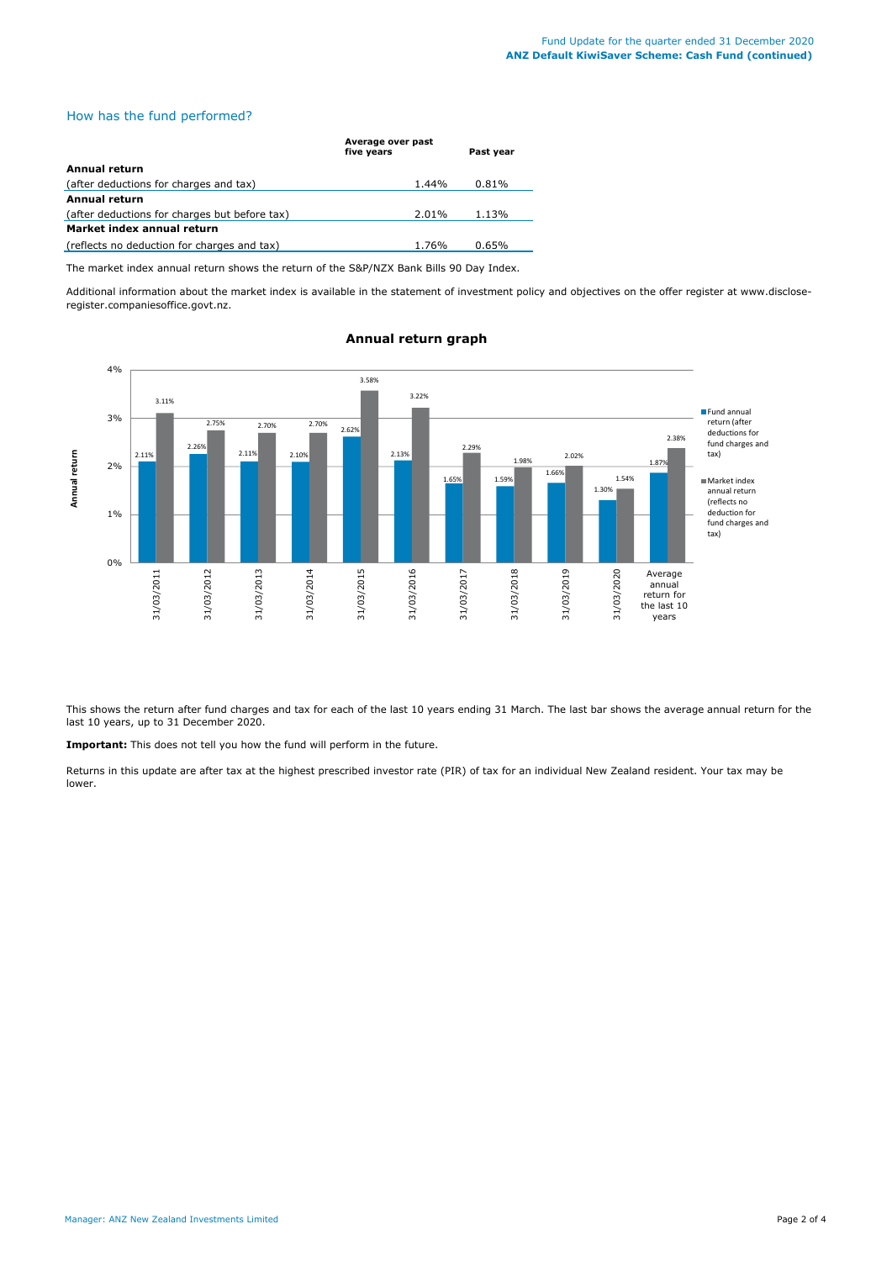## How has the fund performed?

|                                               | Average over past<br>five years | Past year |  |
|-----------------------------------------------|---------------------------------|-----------|--|
| Annual return                                 |                                 |           |  |
| (after deductions for charges and tax)        | 1.44%                           | 0.81%     |  |
| Annual return                                 |                                 |           |  |
| (after deductions for charges but before tax) | 2.01%                           | 1.13%     |  |
| Market index annual return                    |                                 |           |  |
| (reflects no deduction for charges and tax)   | 1.76%                           | 0.65%     |  |

The market index annual return shows the return of the S&P/NZX Bank Bills 90 Day Index.

Additional information about the market index is available in the statement of investment policy and objectives on the offer register at www.discloseregister.companiesoffice.govt.nz.



# **Annual return graph**

This shows the return after fund charges and tax for each of the last 10 years ending 31 March. The last bar shows the average annual return for the last 10 years, up to 31 December 2020.

**Important:** This does not tell you how the fund will perform in the future.

Returns in this update are after tax at the highest prescribed investor rate (PIR) of tax for an individual New Zealand resident. Your tax may be lower.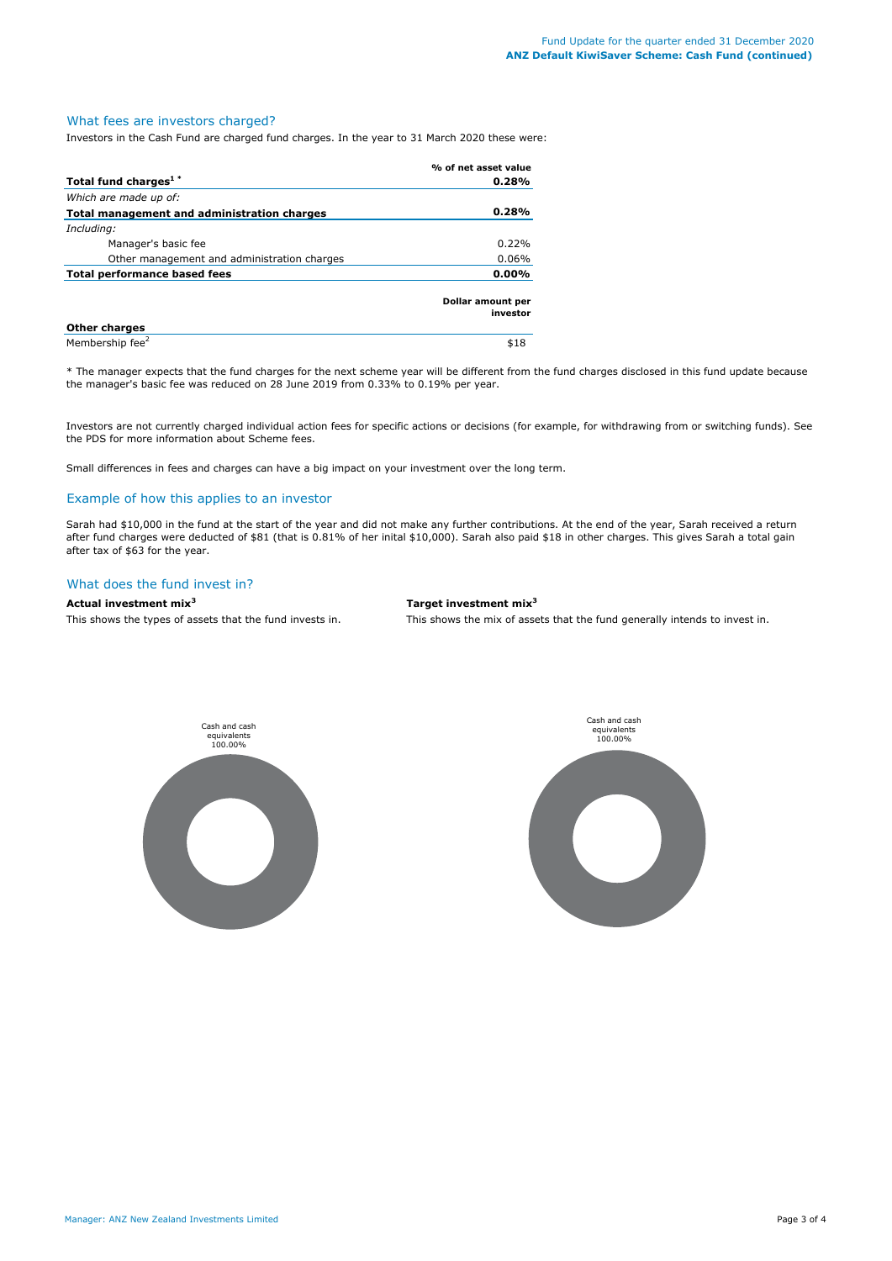### What fees are investors charged?

Investors in the Cash Fund are charged fund charges. In the year to 31 March 2020 these were:

|                                             | % of net asset value          |  |
|---------------------------------------------|-------------------------------|--|
| Total fund charges <sup>1*</sup>            | 0.28%                         |  |
| Which are made up of:                       |                               |  |
| Total management and administration charges | 0.28%                         |  |
| Including:                                  |                               |  |
| Manager's basic fee                         | 0.22%                         |  |
| Other management and administration charges | 0.06%                         |  |
| <b>Total performance based fees</b>         | $0.00\%$                      |  |
|                                             | Dollar amount per<br>investor |  |
| <b>Other charges</b>                        |                               |  |
| Membership fee <sup>2</sup>                 | \$18                          |  |

\* The manager expects that the fund charges for the next scheme year will be different from the fund charges disclosed in this fund update because the manager's basic fee was reduced on 28 June 2019 from 0.33% to 0.19% per year.

Investors are not currently charged individual action fees for specific actions or decisions (for example, for withdrawing from or switching funds). See the PDS for more information about Scheme fees.

Small differences in fees and charges can have a big impact on your investment over the long term.

## Example of how this applies to an investor

Sarah had \$10,000 in the fund at the start of the year and did not make any further contributions. At the end of the year, Sarah received a return after fund charges were deducted of \$81 (that is 0.81% of her inital \$10,000). Sarah also paid \$18 in other charges. This gives Sarah a total gain after tax of \$63 for the year.

# What does the fund invest in?

## **Actual investment mix<sup>3</sup> Target investment mix<sup>3</sup>**

This shows the types of assets that the fund invests in. This shows the mix of assets that the fund generally intends to invest in.